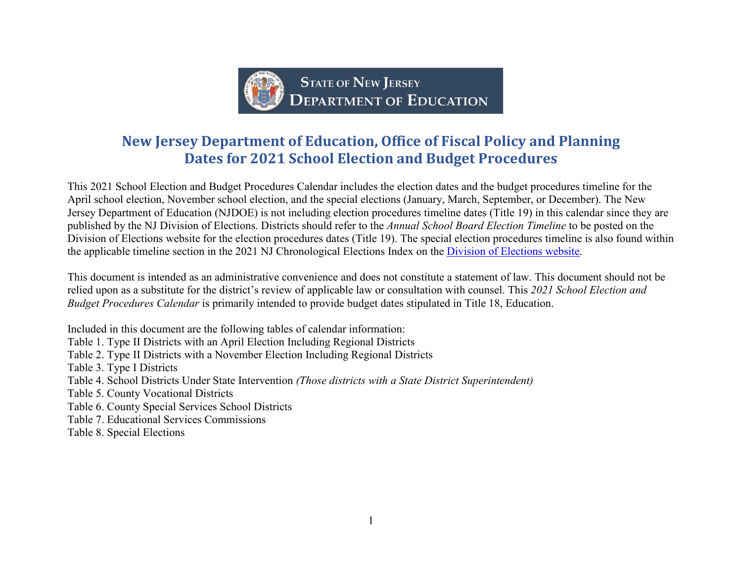

# **New Jersey Department of Education, Office of Fiscal Policy and Planning Dates for 2021 School Election and Budget Procedures**

This 2021 School Election and Budget Procedures Calendar includes the election dates and the budget procedures timeline for the April school election, November school election, and the special elections (January, March, September, or December). The New Jersey Department of Education (NJDOE) is not including election procedures timeline dates (Title 19) in this calendar since they are published by the NJ Division of Elections. Districts should refer to the *Annual School Board Election Timeline* to be posted on the Division of Elections website for the election procedures dates (Title 19). The special election procedures timeline is also found within the applicable timeline section in the 2021 NJ Chronological Elections Index on the [Division of Elections website.](http://www.state.nj.us/state/elections/election-information-archive.html)

This document is intended as an administrative convenience and does not constitute a statement of law. This document should not be relied upon as a substitute for the district's review of applicable law or consultation with counsel. This *2021 School Election and Budget Procedures Calendar* is primarily intended to provide budget dates stipulated in Title 18, Education.

Included in this document are the following tables of calendar information:

Table 1. Type II Districts with an April Election Including Regional Districts

Table 2. Type II Districts with a November Election Including Regional Districts

Table 3. Type I Districts

Table 4. School Districts Under State Intervention *(Those districts with a State District Superintendent)*

Table 5. County Vocational Districts

Table 6. County Special Services School Districts

Table 7. Educational Services Commissions

Table 8. Special Elections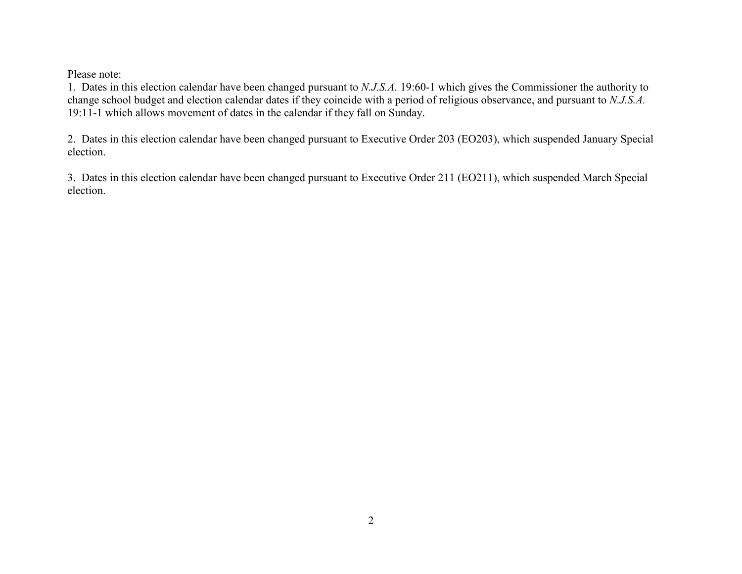Please note:

1. Dates in this election calendar have been changed pursuant to *N.J.S.A.* 19:60-1 which gives the Commissioner the authority to change school budget and election calendar dates if they coincide with a period of religious observance, and pursuant to *N.J.S.A.* 19:11-1 which allows movement of dates in the calendar if they fall on Sunday.

2. Dates in this election calendar have been changed pursuant to Executive Order 203 (EO203), which suspended January Special election.

3. Dates in this election calendar have been changed pursuant to Executive Order 211 (EO211), which suspended March Special election.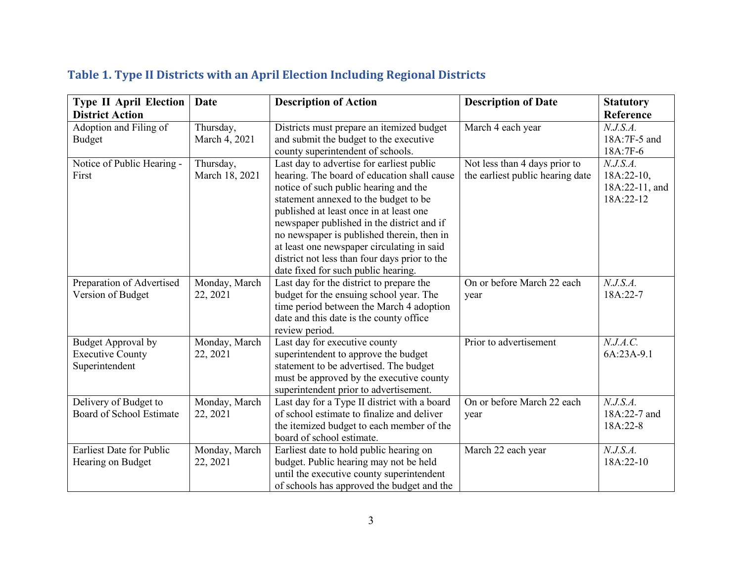| <b>Type II April Election</b>                                   | Date                        | <b>Description of Action</b>                                                                                                                                                                                                                                                                                                                                                                                                                            | <b>Description of Date</b>                                        | <b>Statutory</b>                                         |
|-----------------------------------------------------------------|-----------------------------|---------------------------------------------------------------------------------------------------------------------------------------------------------------------------------------------------------------------------------------------------------------------------------------------------------------------------------------------------------------------------------------------------------------------------------------------------------|-------------------------------------------------------------------|----------------------------------------------------------|
| <b>District Action</b>                                          |                             |                                                                                                                                                                                                                                                                                                                                                                                                                                                         |                                                                   | Reference                                                |
| Adoption and Filing of<br><b>Budget</b>                         | Thursday,<br>March 4, 2021  | Districts must prepare an itemized budget<br>and submit the budget to the executive<br>county superintendent of schools.                                                                                                                                                                                                                                                                                                                                | March 4 each year                                                 | N.J.S.A.<br>18A:7F-5 and<br>18A:7F-6                     |
| Notice of Public Hearing -<br>First                             | Thursday,<br>March 18, 2021 | Last day to advertise for earliest public<br>hearing. The board of education shall cause<br>notice of such public hearing and the<br>statement annexed to the budget to be<br>published at least once in at least one<br>newspaper published in the district and if<br>no newspaper is published therein, then in<br>at least one newspaper circulating in said<br>district not less than four days prior to the<br>date fixed for such public hearing. | Not less than 4 days prior to<br>the earliest public hearing date | N.J.S.A.<br>$18A:22-10$ ,<br>18A:22-11, and<br>18A:22-12 |
| Preparation of Advertised<br>Version of Budget                  | Monday, March<br>22, 2021   | Last day for the district to prepare the<br>budget for the ensuing school year. The<br>time period between the March 4 adoption<br>date and this date is the county office<br>review period.                                                                                                                                                                                                                                                            | On or before March 22 each<br>year                                | N.J.S.A.<br>18A:22-7                                     |
| Budget Approval by<br><b>Executive County</b><br>Superintendent | Monday, March<br>22, 2021   | Last day for executive county<br>superintendent to approve the budget<br>statement to be advertised. The budget<br>must be approved by the executive county<br>superintendent prior to advertisement.                                                                                                                                                                                                                                                   | Prior to advertisement                                            | N.J.A.C.<br>6A:23A-9.1                                   |
| Delivery of Budget to<br>Board of School Estimate               | Monday, March<br>22, 2021   | Last day for a Type II district with a board<br>of school estimate to finalize and deliver<br>the itemized budget to each member of the<br>board of school estimate.                                                                                                                                                                                                                                                                                    | On or before March 22 each<br>year                                | N.J.S.A.<br>18A:22-7 and<br>18A:22-8                     |
| <b>Earliest Date for Public</b><br>Hearing on Budget            | Monday, March<br>22, 2021   | Earliest date to hold public hearing on<br>budget. Public hearing may not be held<br>until the executive county superintendent<br>of schools has approved the budget and the                                                                                                                                                                                                                                                                            | March 22 each year                                                | N.J.S.A.<br>18A:22-10                                    |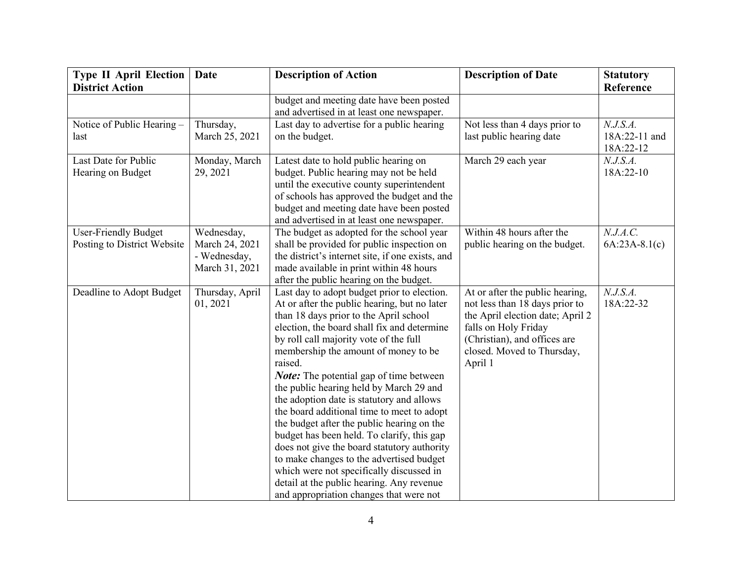| <b>Type II April Election</b> | <b>Date</b>     | <b>Description of Action</b>                     | <b>Description of Date</b>       | <b>Statutory</b> |
|-------------------------------|-----------------|--------------------------------------------------|----------------------------------|------------------|
| <b>District Action</b>        |                 |                                                  |                                  | Reference        |
|                               |                 | budget and meeting date have been posted         |                                  |                  |
|                               |                 | and advertised in at least one newspaper.        |                                  |                  |
| Notice of Public Hearing -    | Thursday,       | Last day to advertise for a public hearing       | Not less than 4 days prior to    | N.J.S.A.         |
| last                          | March 25, 2021  | on the budget.                                   | last public hearing date         | 18A:22-11 and    |
|                               |                 |                                                  |                                  | 18A:22-12        |
| Last Date for Public          | Monday, March   | Latest date to hold public hearing on            | March 29 each year               | N.J.S.A.         |
| Hearing on Budget             | 29, 2021        | budget. Public hearing may not be held           |                                  | 18A:22-10        |
|                               |                 | until the executive county superintendent        |                                  |                  |
|                               |                 | of schools has approved the budget and the       |                                  |                  |
|                               |                 | budget and meeting date have been posted         |                                  |                  |
|                               |                 | and advertised in at least one newspaper.        |                                  |                  |
| <b>User-Friendly Budget</b>   | Wednesday,      | The budget as adopted for the school year        | Within 48 hours after the        | N.J.A.C.         |
| Posting to District Website   | March 24, 2021  | shall be provided for public inspection on       | public hearing on the budget.    | $6A:23A-8.1(c)$  |
|                               | - Wednesday,    | the district's internet site, if one exists, and |                                  |                  |
|                               | March 31, 2021  | made available in print within 48 hours          |                                  |                  |
|                               |                 | after the public hearing on the budget.          |                                  |                  |
| Deadline to Adopt Budget      | Thursday, April | Last day to adopt budget prior to election.      | At or after the public hearing,  | N.J.S.A.         |
|                               | 01, 2021        | At or after the public hearing, but no later     | not less than 18 days prior to   | 18A:22-32        |
|                               |                 | than 18 days prior to the April school           | the April election date; April 2 |                  |
|                               |                 | election, the board shall fix and determine      | falls on Holy Friday             |                  |
|                               |                 | by roll call majority vote of the full           | (Christian), and offices are     |                  |
|                               |                 | membership the amount of money to be             | closed. Moved to Thursday,       |                  |
|                               |                 | raised.                                          | April 1                          |                  |
|                               |                 | <b>Note:</b> The potential gap of time between   |                                  |                  |
|                               |                 | the public hearing held by March 29 and          |                                  |                  |
|                               |                 | the adoption date is statutory and allows        |                                  |                  |
|                               |                 | the board additional time to meet to adopt       |                                  |                  |
|                               |                 | the budget after the public hearing on the       |                                  |                  |
|                               |                 | budget has been held. To clarify, this gap       |                                  |                  |
|                               |                 | does not give the board statutory authority      |                                  |                  |
|                               |                 | to make changes to the advertised budget         |                                  |                  |
|                               |                 | which were not specifically discussed in         |                                  |                  |
|                               |                 | detail at the public hearing. Any revenue        |                                  |                  |
|                               |                 | and appropriation changes that were not          |                                  |                  |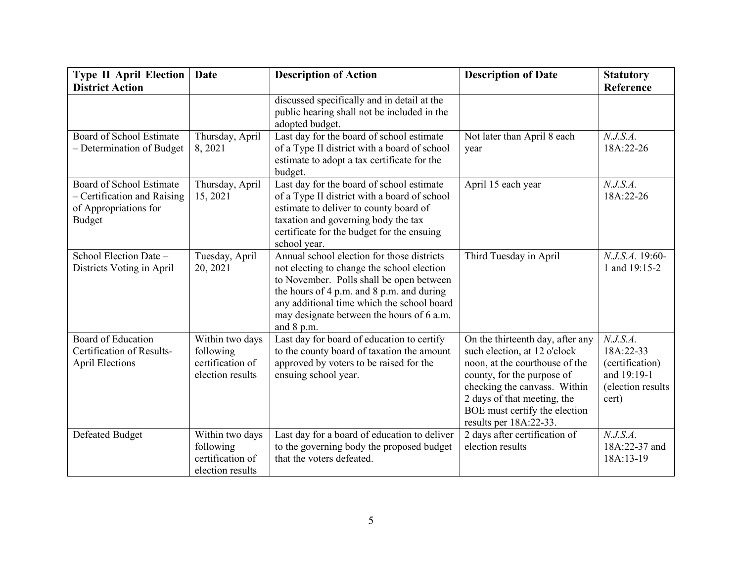| <b>Type II April Election</b>                                                                     | <b>Date</b>                                                          | <b>Description of Action</b>                                                                                                                                                                                                                                                               | <b>Description of Date</b>                                                                                                                                                                                                                                 | <b>Statutory</b>                                                                      |
|---------------------------------------------------------------------------------------------------|----------------------------------------------------------------------|--------------------------------------------------------------------------------------------------------------------------------------------------------------------------------------------------------------------------------------------------------------------------------------------|------------------------------------------------------------------------------------------------------------------------------------------------------------------------------------------------------------------------------------------------------------|---------------------------------------------------------------------------------------|
| <b>District Action</b>                                                                            |                                                                      |                                                                                                                                                                                                                                                                                            |                                                                                                                                                                                                                                                            | Reference                                                                             |
|                                                                                                   |                                                                      | discussed specifically and in detail at the<br>public hearing shall not be included in the<br>adopted budget.                                                                                                                                                                              |                                                                                                                                                                                                                                                            |                                                                                       |
| Board of School Estimate<br>- Determination of Budget                                             | Thursday, April<br>8, 2021                                           | Last day for the board of school estimate<br>of a Type II district with a board of school<br>estimate to adopt a tax certificate for the<br>budget.                                                                                                                                        | Not later than April 8 each<br>year                                                                                                                                                                                                                        | N.J.S.A.<br>18A:22-26                                                                 |
| Board of School Estimate<br>- Certification and Raising<br>of Appropriations for<br><b>Budget</b> | Thursday, April<br>15, 2021                                          | Last day for the board of school estimate<br>of a Type II district with a board of school<br>estimate to deliver to county board of<br>taxation and governing body the tax<br>certificate for the budget for the ensuing<br>school year.                                                   | April 15 each year                                                                                                                                                                                                                                         | N.J.S.A.<br>18A:22-26                                                                 |
| School Election Date -<br>Districts Voting in April                                               | Tuesday, April<br>20, 2021                                           | Annual school election for those districts<br>not electing to change the school election<br>to November. Polls shall be open between<br>the hours of 4 p.m. and 8 p.m. and during<br>any additional time which the school board<br>may designate between the hours of 6 a.m.<br>and 8 p.m. | Third Tuesday in April                                                                                                                                                                                                                                     | N.J.S.A. 19:60-<br>1 and 19:15-2                                                      |
| Board of Education<br>Certification of Results-<br><b>April Elections</b>                         | Within two days<br>following<br>certification of<br>election results | Last day for board of education to certify<br>to the county board of taxation the amount<br>approved by voters to be raised for the<br>ensuing school year.                                                                                                                                | On the thirteenth day, after any<br>such election, at 12 o'clock<br>noon, at the courthouse of the<br>county, for the purpose of<br>checking the canvass. Within<br>2 days of that meeting, the<br>BOE must certify the election<br>results per 18A:22-33. | N.J.S.A.<br>18A:22-33<br>(certification)<br>and 19:19-1<br>(election results<br>cert) |
| <b>Defeated Budget</b>                                                                            | Within two days<br>following<br>certification of<br>election results | Last day for a board of education to deliver<br>to the governing body the proposed budget<br>that the voters defeated.                                                                                                                                                                     | 2 days after certification of<br>election results                                                                                                                                                                                                          | N.J.S.A.<br>18A:22-37 and<br>18A:13-19                                                |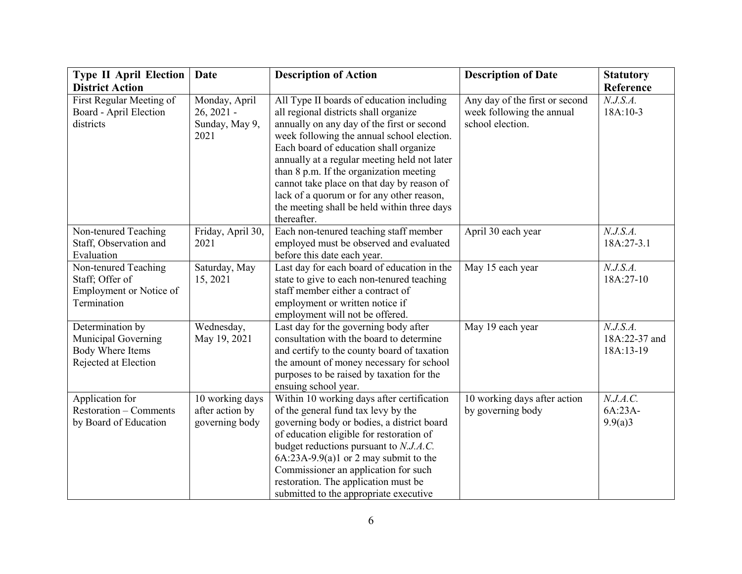| <b>Type II April Election</b> | <b>Date</b>       | <b>Description of Action</b>                 | <b>Description of Date</b>     | <b>Statutory</b> |
|-------------------------------|-------------------|----------------------------------------------|--------------------------------|------------------|
| <b>District Action</b>        |                   |                                              |                                | Reference        |
| First Regular Meeting of      | Monday, April     | All Type II boards of education including    | Any day of the first or second | N.J.S.A.         |
| Board - April Election        | $26, 2021 -$      | all regional districts shall organize        | week following the annual      | 18A:10-3         |
| districts                     | Sunday, May 9,    | annually on any day of the first or second   | school election.               |                  |
|                               | 2021              | week following the annual school election.   |                                |                  |
|                               |                   | Each board of education shall organize       |                                |                  |
|                               |                   | annually at a regular meeting held not later |                                |                  |
|                               |                   | than 8 p.m. If the organization meeting      |                                |                  |
|                               |                   | cannot take place on that day by reason of   |                                |                  |
|                               |                   | lack of a quorum or for any other reason,    |                                |                  |
|                               |                   | the meeting shall be held within three days  |                                |                  |
|                               |                   | thereafter.                                  |                                |                  |
| Non-tenured Teaching          | Friday, April 30, | Each non-tenured teaching staff member       | April 30 each year             | N.J.S.A.         |
| Staff, Observation and        | 2021              | employed must be observed and evaluated      |                                | 18A:27-3.1       |
| Evaluation                    |                   | before this date each year.                  |                                |                  |
| Non-tenured Teaching          | Saturday, May     | Last day for each board of education in the  | May 15 each year               | N.J.S.A.         |
| Staff; Offer of               | 15, 2021          | state to give to each non-tenured teaching   |                                | 18A:27-10        |
| Employment or Notice of       |                   | staff member either a contract of            |                                |                  |
| Termination                   |                   | employment or written notice if              |                                |                  |
|                               |                   | employment will not be offered.              |                                |                  |
| Determination by              | Wednesday,        | Last day for the governing body after        | May 19 each year               | N.J.S.A.         |
| Municipal Governing           | May 19, 2021      | consultation with the board to determine     |                                | 18A:22-37 and    |
| Body Where Items              |                   | and certify to the county board of taxation  |                                | 18A:13-19        |
| Rejected at Election          |                   | the amount of money necessary for school     |                                |                  |
|                               |                   | purposes to be raised by taxation for the    |                                |                  |
|                               |                   | ensuing school year.                         |                                |                  |
| Application for               | 10 working days   | Within 10 working days after certification   | 10 working days after action   | N.J.A.C.         |
| <b>Restoration – Comments</b> | after action by   | of the general fund tax levy by the          | by governing body              | 6A:23A-          |
| by Board of Education         | governing body    | governing body or bodies, a district board   |                                | 9.9(a)3          |
|                               |                   | of education eligible for restoration of     |                                |                  |
|                               |                   | budget reductions pursuant to N.J.A.C.       |                                |                  |
|                               |                   | $6A:23A-9.9(a)1$ or 2 may submit to the      |                                |                  |
|                               |                   | Commissioner an application for such         |                                |                  |
|                               |                   | restoration. The application must be         |                                |                  |
|                               |                   | submitted to the appropriate executive       |                                |                  |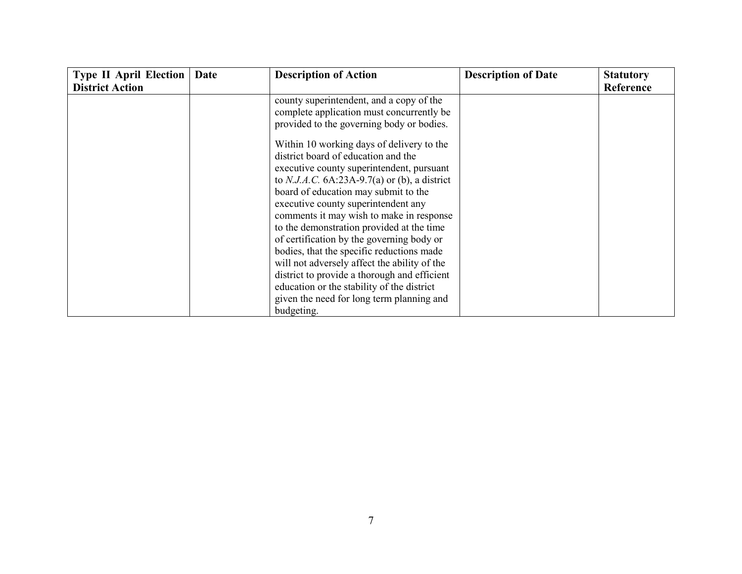| <b>District Action</b><br>county superintendent, and a copy of the                                                                                                                                                                                                                                                                                                                                                                                                                                                                                                                                                                                         | Reference |
|------------------------------------------------------------------------------------------------------------------------------------------------------------------------------------------------------------------------------------------------------------------------------------------------------------------------------------------------------------------------------------------------------------------------------------------------------------------------------------------------------------------------------------------------------------------------------------------------------------------------------------------------------------|-----------|
|                                                                                                                                                                                                                                                                                                                                                                                                                                                                                                                                                                                                                                                            |           |
| complete application must concurrently be<br>provided to the governing body or bodies.                                                                                                                                                                                                                                                                                                                                                                                                                                                                                                                                                                     |           |
| Within 10 working days of delivery to the<br>district board of education and the<br>executive county superintendent, pursuant<br>to N.J.A.C. $6A:23A-9.7(a)$ or (b), a district<br>board of education may submit to the<br>executive county superintendent any<br>comments it may wish to make in response<br>to the demonstration provided at the time<br>of certification by the governing body or<br>bodies, that the specific reductions made<br>will not adversely affect the ability of the<br>district to provide a thorough and efficient<br>education or the stability of the district<br>given the need for long term planning and<br>budgeting. |           |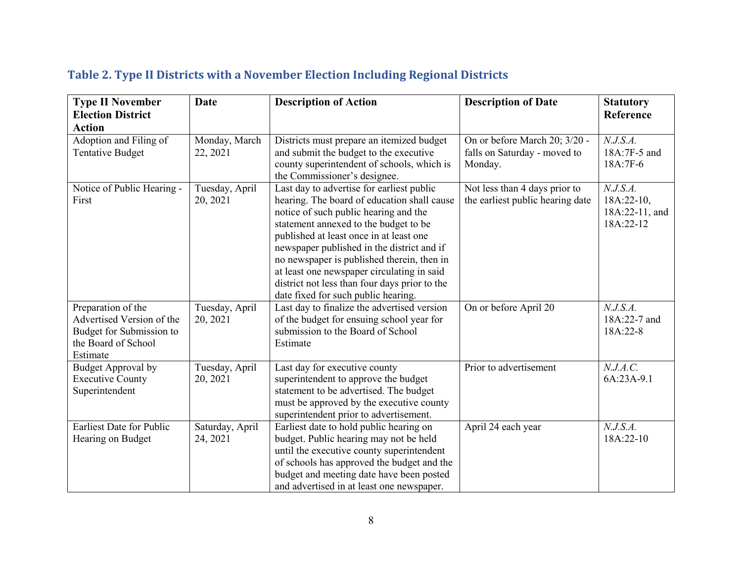| <b>Type II November</b><br><b>Election District</b><br><b>Action</b>                                           | <b>Date</b>                 | <b>Description of Action</b>                                                                                                                                                                                                                                                                                                                                                                                                                            | <b>Description of Date</b>                                               | <b>Statutory</b><br>Reference                           |
|----------------------------------------------------------------------------------------------------------------|-----------------------------|---------------------------------------------------------------------------------------------------------------------------------------------------------------------------------------------------------------------------------------------------------------------------------------------------------------------------------------------------------------------------------------------------------------------------------------------------------|--------------------------------------------------------------------------|---------------------------------------------------------|
| Adoption and Filing of<br><b>Tentative Budget</b>                                                              | Monday, March<br>22, 2021   | Districts must prepare an itemized budget<br>and submit the budget to the executive<br>county superintendent of schools, which is<br>the Commissioner's designee.                                                                                                                                                                                                                                                                                       | On or before March 20; 3/20 -<br>falls on Saturday - moved to<br>Monday. | N.J.S.A.<br>18A:7F-5 and<br>18A:7F-6                    |
| Notice of Public Hearing -<br>First                                                                            | Tuesday, April<br>20, 2021  | Last day to advertise for earliest public<br>hearing. The board of education shall cause<br>notice of such public hearing and the<br>statement annexed to the budget to be<br>published at least once in at least one<br>newspaper published in the district and if<br>no newspaper is published therein, then in<br>at least one newspaper circulating in said<br>district not less than four days prior to the<br>date fixed for such public hearing. | Not less than 4 days prior to<br>the earliest public hearing date        | N.J.S.A.<br>$18A:22-10,$<br>18A:22-11, and<br>18A:22-12 |
| Preparation of the<br>Advertised Version of the<br>Budget for Submission to<br>the Board of School<br>Estimate | Tuesday, April<br>20, 2021  | Last day to finalize the advertised version<br>of the budget for ensuing school year for<br>submission to the Board of School<br>Estimate                                                                                                                                                                                                                                                                                                               | On or before April 20                                                    | N.J.S.A.<br>18A:22-7 and<br>18A:22-8                    |
| <b>Budget Approval by</b><br><b>Executive County</b><br>Superintendent                                         | Tuesday, April<br>20, 2021  | Last day for executive county<br>superintendent to approve the budget<br>statement to be advertised. The budget<br>must be approved by the executive county<br>superintendent prior to advertisement.                                                                                                                                                                                                                                                   | Prior to advertisement                                                   | N.J.A.C.<br>6A:23A-9.1                                  |
| <b>Earliest Date for Public</b><br>Hearing on Budget                                                           | Saturday, April<br>24, 2021 | Earliest date to hold public hearing on<br>budget. Public hearing may not be held<br>until the executive county superintendent<br>of schools has approved the budget and the<br>budget and meeting date have been posted<br>and advertised in at least one newspaper.                                                                                                                                                                                   | April 24 each year                                                       | N.J.S.A.<br>18A:22-10                                   |

## **Table 2. Type II Districts with a November Election Including Regional Districts**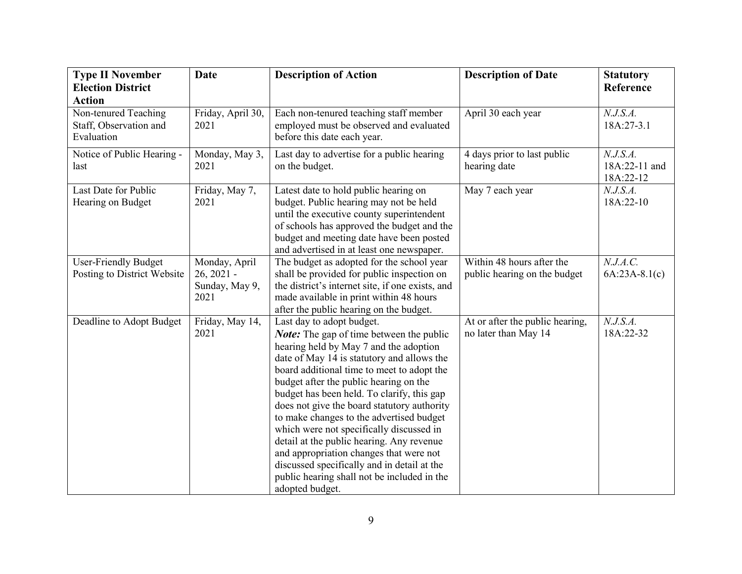| <b>Type II November</b><br><b>Election District</b>                           | <b>Date</b>                                             | <b>Description of Action</b>                                                                                                                                                                                                                                                                                                                                                                                                                                                                                                                                                                                                                               | <b>Description of Date</b>                                | <b>Statutory</b><br>Reference          |
|-------------------------------------------------------------------------------|---------------------------------------------------------|------------------------------------------------------------------------------------------------------------------------------------------------------------------------------------------------------------------------------------------------------------------------------------------------------------------------------------------------------------------------------------------------------------------------------------------------------------------------------------------------------------------------------------------------------------------------------------------------------------------------------------------------------------|-----------------------------------------------------------|----------------------------------------|
| <b>Action</b><br>Non-tenured Teaching<br>Staff, Observation and<br>Evaluation | Friday, April 30,<br>2021                               | Each non-tenured teaching staff member<br>employed must be observed and evaluated<br>before this date each year.                                                                                                                                                                                                                                                                                                                                                                                                                                                                                                                                           | April 30 each year                                        | N.J.S.A.<br>18A:27-3.1                 |
| Notice of Public Hearing -<br>last                                            | Monday, May 3,<br>2021                                  | Last day to advertise for a public hearing<br>on the budget.                                                                                                                                                                                                                                                                                                                                                                                                                                                                                                                                                                                               | 4 days prior to last public<br>hearing date               | N.J.S.A.<br>18A:22-11 and<br>18A:22-12 |
| Last Date for Public<br>Hearing on Budget                                     | Friday, May 7,<br>2021                                  | Latest date to hold public hearing on<br>budget. Public hearing may not be held<br>until the executive county superintendent<br>of schools has approved the budget and the<br>budget and meeting date have been posted<br>and advertised in at least one newspaper.                                                                                                                                                                                                                                                                                                                                                                                        | May 7 each year                                           | N.J.S.A.<br>18A:22-10                  |
| <b>User-Friendly Budget</b><br>Posting to District Website                    | Monday, April<br>$26, 2021 -$<br>Sunday, May 9,<br>2021 | The budget as adopted for the school year<br>shall be provided for public inspection on<br>the district's internet site, if one exists, and<br>made available in print within 48 hours<br>after the public hearing on the budget.                                                                                                                                                                                                                                                                                                                                                                                                                          | Within 48 hours after the<br>public hearing on the budget | N.J.A.C.<br>$6A:23A-8.1(c)$            |
| Deadline to Adopt Budget                                                      | Friday, May 14,<br>2021                                 | Last day to adopt budget.<br><b>Note:</b> The gap of time between the public<br>hearing held by May 7 and the adoption<br>date of May 14 is statutory and allows the<br>board additional time to meet to adopt the<br>budget after the public hearing on the<br>budget has been held. To clarify, this gap<br>does not give the board statutory authority<br>to make changes to the advertised budget<br>which were not specifically discussed in<br>detail at the public hearing. Any revenue<br>and appropriation changes that were not<br>discussed specifically and in detail at the<br>public hearing shall not be included in the<br>adopted budget. | At or after the public hearing,<br>no later than May 14   | N.J.S.A.<br>18A:22-32                  |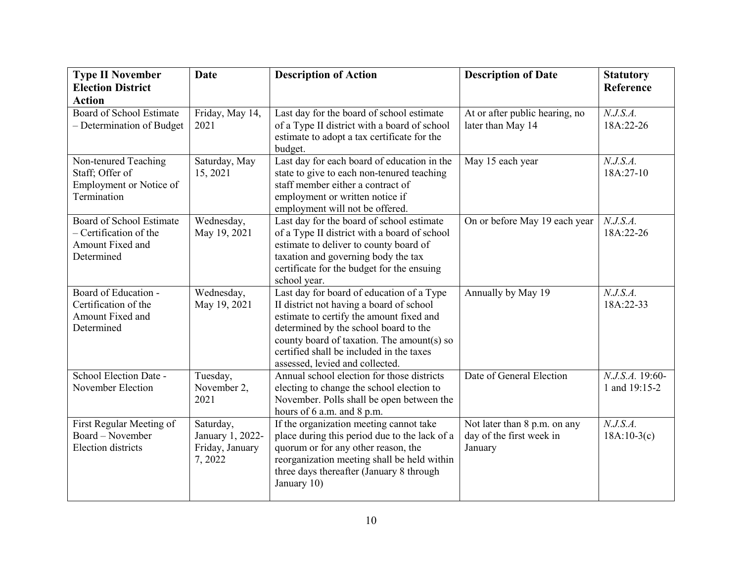| <b>Type II November</b><br><b>Election District</b>                                  | <b>Date</b>                                                | <b>Description of Action</b>                                                                                                                                                                                                                                                                            | <b>Description of Date</b>                                          | <b>Statutory</b><br>Reference    |
|--------------------------------------------------------------------------------------|------------------------------------------------------------|---------------------------------------------------------------------------------------------------------------------------------------------------------------------------------------------------------------------------------------------------------------------------------------------------------|---------------------------------------------------------------------|----------------------------------|
| <b>Action</b><br>Board of School Estimate<br>- Determination of Budget               | Friday, May 14,<br>2021                                    | Last day for the board of school estimate<br>of a Type II district with a board of school<br>estimate to adopt a tax certificate for the<br>budget.                                                                                                                                                     | At or after public hearing, no<br>later than May 14                 | N.J.S.A.<br>18A:22-26            |
| Non-tenured Teaching<br>Staff; Offer of<br>Employment or Notice of<br>Termination    | Saturday, May<br>15, 2021                                  | Last day for each board of education in the<br>state to give to each non-tenured teaching<br>staff member either a contract of<br>employment or written notice if<br>employment will not be offered.                                                                                                    | May 15 each year                                                    | N.J.S.A.<br>18A:27-10            |
| Board of School Estimate<br>- Certification of the<br>Amount Fixed and<br>Determined | Wednesday,<br>May 19, 2021                                 | Last day for the board of school estimate<br>of a Type II district with a board of school<br>estimate to deliver to county board of<br>taxation and governing body the tax<br>certificate for the budget for the ensuing<br>school year.                                                                | On or before May 19 each year                                       | N.J.S.A.<br>18A:22-26            |
| Board of Education -<br>Certification of the<br>Amount Fixed and<br>Determined       | Wednesday,<br>May 19, 2021                                 | Last day for board of education of a Type<br>II district not having a board of school<br>estimate to certify the amount fixed and<br>determined by the school board to the<br>county board of taxation. The amount(s) so<br>certified shall be included in the taxes<br>assessed, levied and collected. | Annually by May 19                                                  | N.J.S.A.<br>18A:22-33            |
| School Election Date -<br>November Election                                          | Tuesday,<br>November 2,<br>2021                            | Annual school election for those districts<br>electing to change the school election to<br>November. Polls shall be open between the<br>hours of 6 a.m. and 8 p.m.                                                                                                                                      | Date of General Election                                            | N.J.S.A. 19:60-<br>1 and 19:15-2 |
| First Regular Meeting of<br>Board - November<br><b>Election</b> districts            | Saturday,<br>January 1, 2022-<br>Friday, January<br>7,2022 | If the organization meeting cannot take<br>place during this period due to the lack of a<br>quorum or for any other reason, the<br>reorganization meeting shall be held within<br>three days thereafter (January 8 through<br>January 10)                                                               | Not later than 8 p.m. on any<br>day of the first week in<br>January | N.J.S.A.<br>$18A:10-3(c)$        |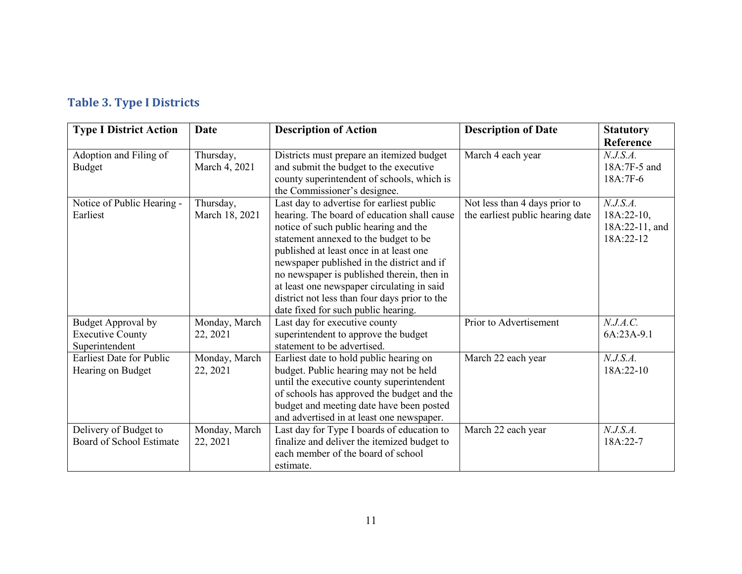# **Table 3. Type I Districts**

| <b>Type I District Action</b>                                          | <b>Date</b>                 | <b>Description of Action</b>                                                                                                                                                                                                                                                                                                                                                                                                                            | <b>Description of Date</b>                                        | <b>Statutory</b><br>Reference                           |
|------------------------------------------------------------------------|-----------------------------|---------------------------------------------------------------------------------------------------------------------------------------------------------------------------------------------------------------------------------------------------------------------------------------------------------------------------------------------------------------------------------------------------------------------------------------------------------|-------------------------------------------------------------------|---------------------------------------------------------|
| Adoption and Filing of<br><b>Budget</b>                                | Thursday,<br>March 4, 2021  | Districts must prepare an itemized budget<br>and submit the budget to the executive<br>county superintendent of schools, which is<br>the Commissioner's designee.                                                                                                                                                                                                                                                                                       | March 4 each year                                                 | N.J.S.A.<br>18A:7F-5 and<br>18A:7F-6                    |
| Notice of Public Hearing -<br>Earliest                                 | Thursday,<br>March 18, 2021 | Last day to advertise for earliest public<br>hearing. The board of education shall cause<br>notice of such public hearing and the<br>statement annexed to the budget to be<br>published at least once in at least one<br>newspaper published in the district and if<br>no newspaper is published therein, then in<br>at least one newspaper circulating in said<br>district not less than four days prior to the<br>date fixed for such public hearing. | Not less than 4 days prior to<br>the earliest public hearing date | N.J.S.A.<br>$18A:22-10,$<br>18A:22-11, and<br>18A:22-12 |
| <b>Budget Approval by</b><br><b>Executive County</b><br>Superintendent | Monday, March<br>22, 2021   | Last day for executive county<br>superintendent to approve the budget<br>statement to be advertised.                                                                                                                                                                                                                                                                                                                                                    | Prior to Advertisement                                            | N.J.A.C.<br>6A:23A-9.1                                  |
| <b>Earliest Date for Public</b><br>Hearing on Budget                   | Monday, March<br>22, 2021   | Earliest date to hold public hearing on<br>budget. Public hearing may not be held<br>until the executive county superintendent<br>of schools has approved the budget and the<br>budget and meeting date have been posted<br>and advertised in at least one newspaper.                                                                                                                                                                                   | March 22 each year                                                | N.J.S.A.<br>$18A:22-10$                                 |
| Delivery of Budget to<br>Board of School Estimate                      | Monday, March<br>22, 2021   | Last day for Type I boards of education to<br>finalize and deliver the itemized budget to<br>each member of the board of school<br>estimate.                                                                                                                                                                                                                                                                                                            | March 22 each year                                                | N.J.S.A.<br>18A:22-7                                    |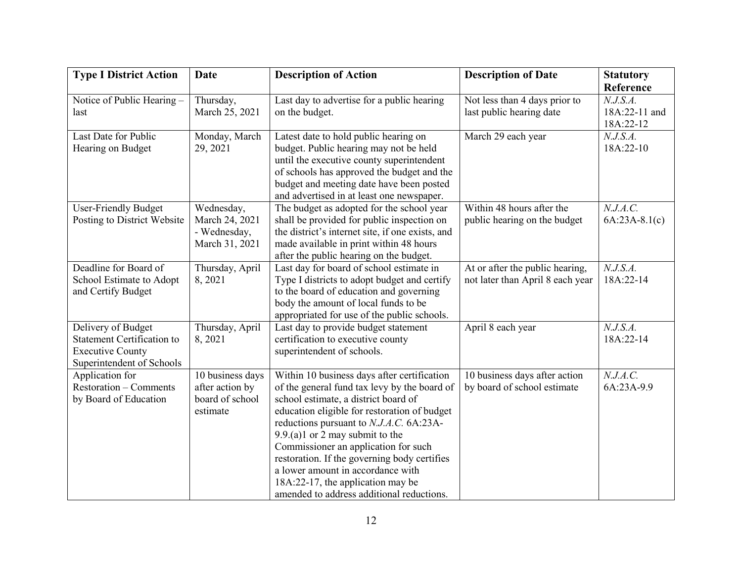| <b>Type I District Action</b>     | <b>Date</b>      | <b>Description of Action</b>                     | <b>Description of Date</b>       | <b>Statutory</b> |
|-----------------------------------|------------------|--------------------------------------------------|----------------------------------|------------------|
|                                   |                  |                                                  |                                  | Reference        |
| Notice of Public Hearing -        | Thursday,        | Last day to advertise for a public hearing       | Not less than 4 days prior to    | N.J.S.A.         |
| last                              | March 25, 2021   | on the budget.                                   | last public hearing date         | 18A:22-11 and    |
|                                   |                  |                                                  |                                  | 18A:22-12        |
| Last Date for Public              | Monday, March    | Latest date to hold public hearing on            | March 29 each year               | N.J.S.A.         |
| Hearing on Budget                 | 29, 2021         | budget. Public hearing may not be held           |                                  | 18A:22-10        |
|                                   |                  | until the executive county superintendent        |                                  |                  |
|                                   |                  | of schools has approved the budget and the       |                                  |                  |
|                                   |                  | budget and meeting date have been posted         |                                  |                  |
|                                   |                  | and advertised in at least one newspaper.        |                                  |                  |
| <b>User-Friendly Budget</b>       | Wednesday,       | The budget as adopted for the school year        | Within 48 hours after the        | N.J.A.C.         |
| Posting to District Website       | March 24, 2021   | shall be provided for public inspection on       | public hearing on the budget     | $6A:23A-8.1(c)$  |
|                                   | - Wednesday,     | the district's internet site, if one exists, and |                                  |                  |
|                                   | March 31, 2021   | made available in print within 48 hours          |                                  |                  |
|                                   |                  | after the public hearing on the budget.          |                                  |                  |
| Deadline for Board of             | Thursday, April  | Last day for board of school estimate in         | At or after the public hearing,  | N.J.S.A.         |
| School Estimate to Adopt          | 8, 2021          | Type I districts to adopt budget and certify     | not later than April 8 each year | 18A:22-14        |
| and Certify Budget                |                  | to the board of education and governing          |                                  |                  |
|                                   |                  | body the amount of local funds to be             |                                  |                  |
|                                   |                  | appropriated for use of the public schools.      |                                  |                  |
| Delivery of Budget                | Thursday, April  | Last day to provide budget statement             | April 8 each year                | N.J.S.A.         |
| <b>Statement Certification to</b> | 8,2021           | certification to executive county                |                                  | 18A:22-14        |
| <b>Executive County</b>           |                  | superintendent of schools.                       |                                  |                  |
| Superintendent of Schools         |                  |                                                  |                                  |                  |
| Application for                   | 10 business days | Within 10 business days after certification      | 10 business days after action    | N.J.A.C.         |
| <b>Restoration – Comments</b>     | after action by  | of the general fund tax levy by the board of     | by board of school estimate      | 6A:23A-9.9       |
| by Board of Education             | board of school  | school estimate, a district board of             |                                  |                  |
|                                   | estimate         | education eligible for restoration of budget     |                                  |                  |
|                                   |                  | reductions pursuant to N.J.A.C. 6A:23A-          |                                  |                  |
|                                   |                  | $9.9(a)1$ or 2 may submit to the                 |                                  |                  |
|                                   |                  | Commissioner an application for such             |                                  |                  |
|                                   |                  | restoration. If the governing body certifies     |                                  |                  |
|                                   |                  | a lower amount in accordance with                |                                  |                  |
|                                   |                  | 18A:22-17, the application may be                |                                  |                  |
|                                   |                  | amended to address additional reductions.        |                                  |                  |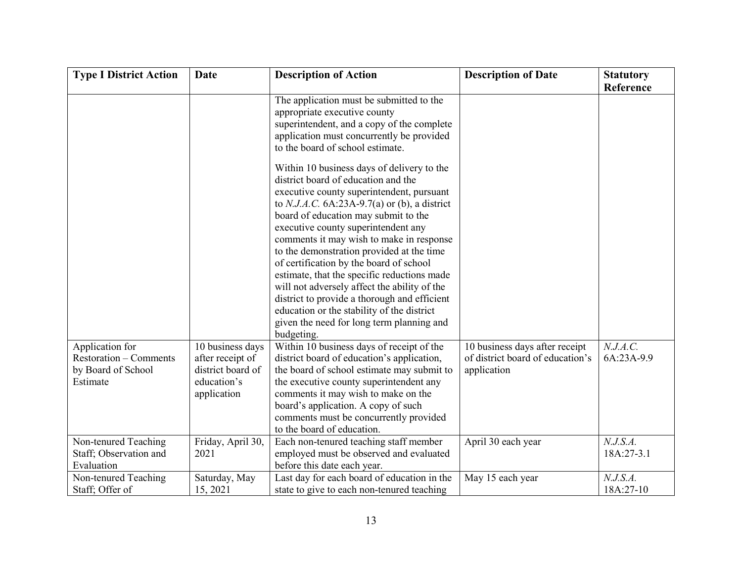| <b>Type I District Action</b>                                                      | Date                                                                                    | <b>Description of Action</b>                                                                                                                                                                                                                                                                                                                                                                                                                                                                                                                                                                                                                                                                                                                                                                                                                                           | <b>Description of Date</b>                                                        | <b>Statutory</b>       |
|------------------------------------------------------------------------------------|-----------------------------------------------------------------------------------------|------------------------------------------------------------------------------------------------------------------------------------------------------------------------------------------------------------------------------------------------------------------------------------------------------------------------------------------------------------------------------------------------------------------------------------------------------------------------------------------------------------------------------------------------------------------------------------------------------------------------------------------------------------------------------------------------------------------------------------------------------------------------------------------------------------------------------------------------------------------------|-----------------------------------------------------------------------------------|------------------------|
|                                                                                    |                                                                                         | The application must be submitted to the<br>appropriate executive county<br>superintendent, and a copy of the complete<br>application must concurrently be provided<br>to the board of school estimate.<br>Within 10 business days of delivery to the<br>district board of education and the<br>executive county superintendent, pursuant<br>to N.J.A.C. $6A:23A-9.7(a)$ or (b), a district<br>board of education may submit to the<br>executive county superintendent any<br>comments it may wish to make in response<br>to the demonstration provided at the time<br>of certification by the board of school<br>estimate, that the specific reductions made<br>will not adversely affect the ability of the<br>district to provide a thorough and efficient<br>education or the stability of the district<br>given the need for long term planning and<br>budgeting. |                                                                                   | Reference              |
| Application for<br><b>Restoration – Comments</b><br>by Board of School<br>Estimate | 10 business days<br>after receipt of<br>district board of<br>education's<br>application | Within 10 business days of receipt of the<br>district board of education's application,<br>the board of school estimate may submit to<br>the executive county superintendent any<br>comments it may wish to make on the<br>board's application. A copy of such<br>comments must be concurrently provided<br>to the board of education.                                                                                                                                                                                                                                                                                                                                                                                                                                                                                                                                 | 10 business days after receipt<br>of district board of education's<br>application | N.J.A.C.<br>6A:23A-9.9 |
| Non-tenured Teaching<br>Staff; Observation and<br>Evaluation                       | Friday, April 30,<br>2021                                                               | Each non-tenured teaching staff member<br>employed must be observed and evaluated<br>before this date each year.                                                                                                                                                                                                                                                                                                                                                                                                                                                                                                                                                                                                                                                                                                                                                       | April 30 each year                                                                | N.J.S.A.<br>18A:27-3.1 |
| Non-tenured Teaching<br>Staff; Offer of                                            | Saturday, May<br>15, 2021                                                               | Last day for each board of education in the<br>state to give to each non-tenured teaching                                                                                                                                                                                                                                                                                                                                                                                                                                                                                                                                                                                                                                                                                                                                                                              | May 15 each year                                                                  | N.J.S.A.<br>18A:27-10  |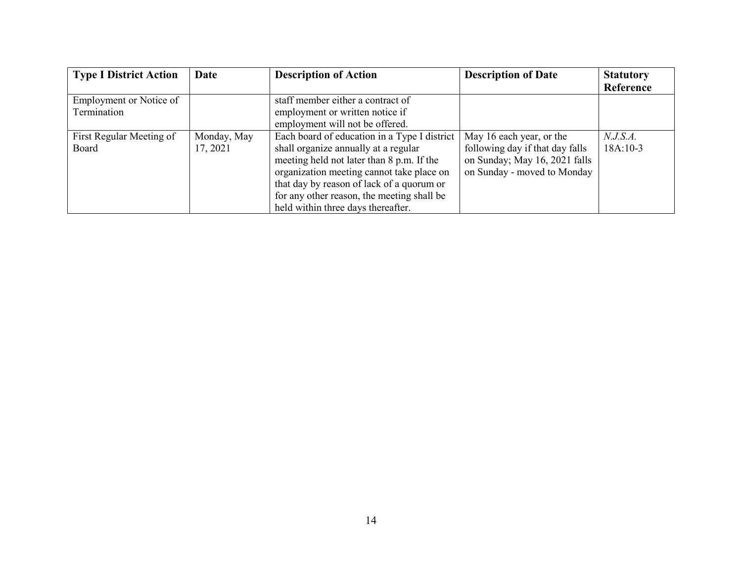| <b>Type I District Action</b> | Date        | <b>Description of Action</b>                 | <b>Description of Date</b>      | <b>Statutory</b> |
|-------------------------------|-------------|----------------------------------------------|---------------------------------|------------------|
|                               |             |                                              |                                 | Reference        |
| Employment or Notice of       |             | staff member either a contract of            |                                 |                  |
| Termination                   |             | employment or written notice if              |                                 |                  |
|                               |             | employment will not be offered.              |                                 |                  |
| First Regular Meeting of      | Monday, May | Each board of education in a Type I district | May 16 each year, or the        | N.J.S.A.         |
| Board                         | 17, 2021    | shall organize annually at a regular         | following day if that day falls | $18A:10-3$       |
|                               |             | meeting held not later than 8 p.m. If the    | on Sunday; May 16, 2021 falls   |                  |
|                               |             | organization meeting cannot take place on    | on Sunday - moved to Monday     |                  |
|                               |             | that day by reason of lack of a quorum or    |                                 |                  |
|                               |             | for any other reason, the meeting shall be   |                                 |                  |
|                               |             | held within three days thereafter.           |                                 |                  |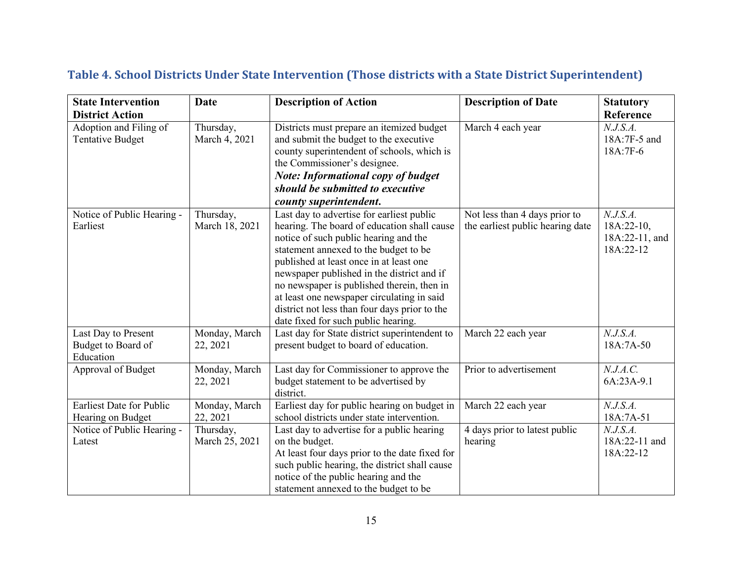| <b>State Intervention</b>                              | <b>Date</b>                 | <b>Description of Action</b>                                                                                                                                                                                                                                                                                                                                                                                                                            | <b>Description of Date</b>                                        | <b>Statutory</b>                                      |
|--------------------------------------------------------|-----------------------------|---------------------------------------------------------------------------------------------------------------------------------------------------------------------------------------------------------------------------------------------------------------------------------------------------------------------------------------------------------------------------------------------------------------------------------------------------------|-------------------------------------------------------------------|-------------------------------------------------------|
| <b>District Action</b>                                 |                             |                                                                                                                                                                                                                                                                                                                                                                                                                                                         |                                                                   | Reference                                             |
| Adoption and Filing of<br><b>Tentative Budget</b>      | Thursday,<br>March 4, 2021  | Districts must prepare an itemized budget<br>and submit the budget to the executive<br>county superintendent of schools, which is<br>the Commissioner's designee.<br><b>Note: Informational copy of budget</b><br>should be submitted to executive<br>county superintendent.                                                                                                                                                                            | March 4 each year                                                 | N.J.S.A.<br>18A:7F-5 and<br>18A:7F-6                  |
| Notice of Public Hearing -<br>Earliest                 | Thursday,<br>March 18, 2021 | Last day to advertise for earliest public<br>hearing. The board of education shall cause<br>notice of such public hearing and the<br>statement annexed to the budget to be<br>published at least once in at least one<br>newspaper published in the district and if<br>no newspaper is published therein, then in<br>at least one newspaper circulating in said<br>district not less than four days prior to the<br>date fixed for such public hearing. | Not less than 4 days prior to<br>the earliest public hearing date | N.J.S.A.<br>18A:22-10,<br>18A:22-11, and<br>18A:22-12 |
| Last Day to Present<br>Budget to Board of<br>Education | Monday, March<br>22, 2021   | Last day for State district superintendent to<br>present budget to board of education.                                                                                                                                                                                                                                                                                                                                                                  | March 22 each year                                                | N.J.S.A.<br>18A:7A-50                                 |
| Approval of Budget                                     | Monday, March<br>22, 2021   | Last day for Commissioner to approve the<br>budget statement to be advertised by<br>district.                                                                                                                                                                                                                                                                                                                                                           | Prior to advertisement                                            | N.J.A.C.<br>6A:23A-9.1                                |
| <b>Earliest Date for Public</b><br>Hearing on Budget   | Monday, March<br>22, 2021   | Earliest day for public hearing on budget in<br>school districts under state intervention.                                                                                                                                                                                                                                                                                                                                                              | March 22 each year                                                | N.J.S.A.<br>18A:7A-51                                 |
| Notice of Public Hearing -<br>Latest                   | Thursday,<br>March 25, 2021 | Last day to advertise for a public hearing<br>on the budget.<br>At least four days prior to the date fixed for<br>such public hearing, the district shall cause<br>notice of the public hearing and the<br>statement annexed to the budget to be                                                                                                                                                                                                        | 4 days prior to latest public<br>hearing                          | N.J.S.A.<br>18A:22-11 and<br>18A:22-12                |

### **Table 4. School Districts Under State Intervention (Those districts with a State District Superintendent)**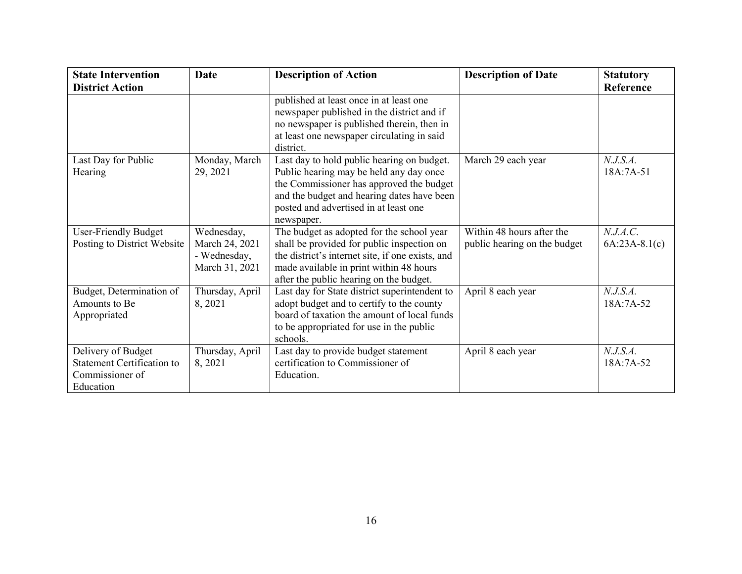| <b>State Intervention</b>                                                               | <b>Date</b>                                                    | <b>Description of Action</b>                                                                                                                                                                                                           | <b>Description of Date</b>                                | <b>Statutory</b>            |
|-----------------------------------------------------------------------------------------|----------------------------------------------------------------|----------------------------------------------------------------------------------------------------------------------------------------------------------------------------------------------------------------------------------------|-----------------------------------------------------------|-----------------------------|
| <b>District Action</b>                                                                  |                                                                |                                                                                                                                                                                                                                        |                                                           | Reference                   |
|                                                                                         |                                                                | published at least once in at least one<br>newspaper published in the district and if<br>no newspaper is published therein, then in<br>at least one newspaper circulating in said<br>district.                                         |                                                           |                             |
| Last Day for Public<br>Hearing                                                          | Monday, March<br>29, 2021                                      | Last day to hold public hearing on budget.<br>Public hearing may be held any day once<br>the Commissioner has approved the budget<br>and the budget and hearing dates have been<br>posted and advertised in at least one<br>newspaper. | March 29 each year                                        | N.J.S.A.<br>18A:7A-51       |
| <b>User-Friendly Budget</b><br>Posting to District Website                              | Wednesday,<br>March 24, 2021<br>- Wednesday,<br>March 31, 2021 | The budget as adopted for the school year<br>shall be provided for public inspection on<br>the district's internet site, if one exists, and<br>made available in print within 48 hours<br>after the public hearing on the budget.      | Within 48 hours after the<br>public hearing on the budget | N.J.A.C.<br>$6A:23A-8.1(c)$ |
| Budget, Determination of<br>Amounts to Be<br>Appropriated                               | Thursday, April<br>8, 2021                                     | Last day for State district superintendent to<br>adopt budget and to certify to the county<br>board of taxation the amount of local funds<br>to be appropriated for use in the public<br>schools.                                      | April 8 each year                                         | N.J.S.A.<br>18A:7A-52       |
| Delivery of Budget<br><b>Statement Certification to</b><br>Commissioner of<br>Education | Thursday, April<br>8, 2021                                     | Last day to provide budget statement<br>certification to Commissioner of<br>Education.                                                                                                                                                 | April 8 each year                                         | N.J.S.A.<br>18A:7A-52       |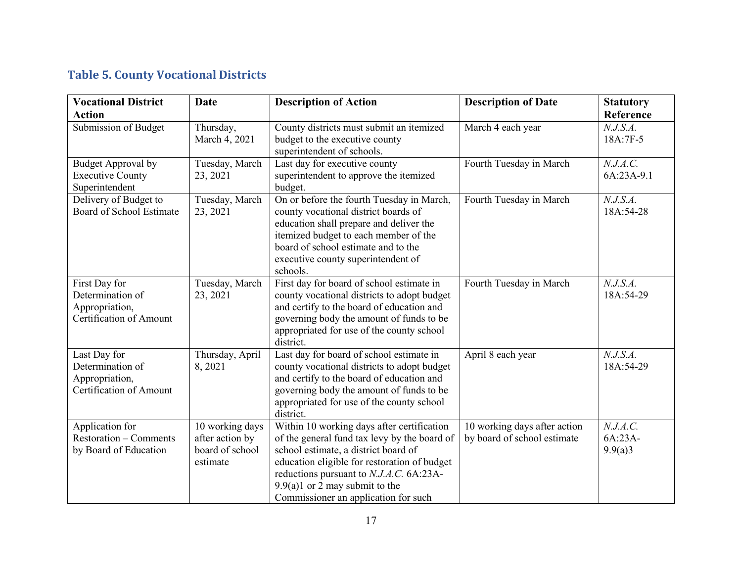### **Table 5. County Vocational Districts**

| <b>Vocational District</b>                                                           | <b>Date</b>                                                       | <b>Description of Action</b>                                                                                                                                                                                                                                                                              | <b>Description of Date</b>                                  | <b>Statutory</b>               |
|--------------------------------------------------------------------------------------|-------------------------------------------------------------------|-----------------------------------------------------------------------------------------------------------------------------------------------------------------------------------------------------------------------------------------------------------------------------------------------------------|-------------------------------------------------------------|--------------------------------|
| <b>Action</b>                                                                        |                                                                   |                                                                                                                                                                                                                                                                                                           |                                                             | Reference                      |
| Submission of Budget                                                                 | Thursday,<br>March 4, 2021                                        | County districts must submit an itemized<br>budget to the executive county<br>superintendent of schools.                                                                                                                                                                                                  | March 4 each year                                           | N.J.S.A.<br>18A:7F-5           |
| <b>Budget Approval by</b><br><b>Executive County</b><br>Superintendent               | Tuesday, March<br>23, 2021                                        | Last day for executive county<br>superintendent to approve the itemized<br>budget.                                                                                                                                                                                                                        | Fourth Tuesday in March                                     | N.J.A.C.<br>6A:23A-9.1         |
| Delivery of Budget to<br>Board of School Estimate                                    | Tuesday, March<br>23, 2021                                        | On or before the fourth Tuesday in March,<br>county vocational district boards of<br>education shall prepare and deliver the<br>itemized budget to each member of the<br>board of school estimate and to the<br>executive county superintendent of<br>schools.                                            | Fourth Tuesday in March                                     | N.J.S.A.<br>18A:54-28          |
| First Day for<br>Determination of<br>Appropriation,<br>Certification of Amount       | Tuesday, March<br>23, 2021                                        | First day for board of school estimate in<br>county vocational districts to adopt budget<br>and certify to the board of education and<br>governing body the amount of funds to be<br>appropriated for use of the county school<br>district.                                                               | Fourth Tuesday in March                                     | N.J.S.A.<br>18A:54-29          |
| Last Day for<br>Determination of<br>Appropriation,<br><b>Certification of Amount</b> | Thursday, April<br>8, 2021                                        | Last day for board of school estimate in<br>county vocational districts to adopt budget<br>and certify to the board of education and<br>governing body the amount of funds to be<br>appropriated for use of the county school<br>district.                                                                | April 8 each year                                           | N.J.S.A.<br>18A:54-29          |
| Application for<br><b>Restoration – Comments</b><br>by Board of Education            | 10 working days<br>after action by<br>board of school<br>estimate | Within 10 working days after certification<br>of the general fund tax levy by the board of<br>school estimate, a district board of<br>education eligible for restoration of budget<br>reductions pursuant to N.J.A.C. 6A:23A-<br>$9.9(a)1$ or 2 may submit to the<br>Commissioner an application for such | 10 working days after action<br>by board of school estimate | N.J.A.C.<br>6A:23A-<br>9.9(a)3 |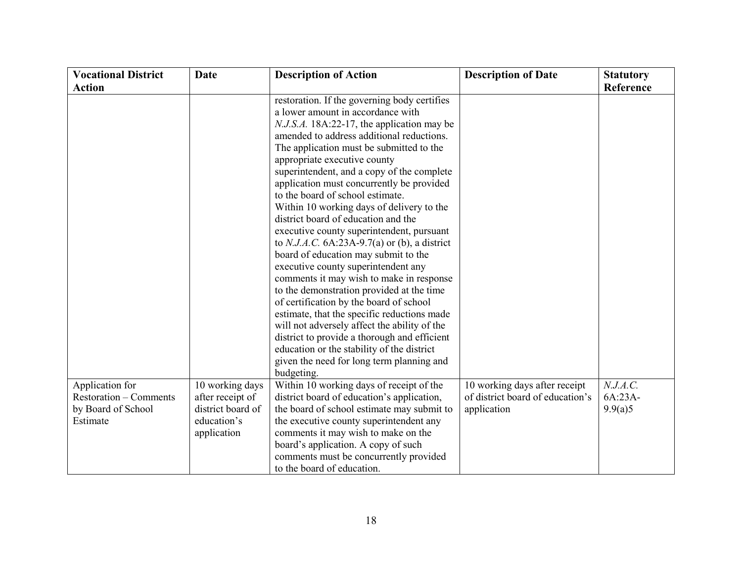| <b>Vocational District</b>                                                         | <b>Date</b>                                                                            | <b>Description of Action</b>                                                                                                                                                                                                                                                                                                                                                                                                                                                                                                                                                                                                                                                                                                                                                                                                                                                                                                                                                                                                                          | <b>Description of Date</b>                                                       | <b>Statutory</b>               |
|------------------------------------------------------------------------------------|----------------------------------------------------------------------------------------|-------------------------------------------------------------------------------------------------------------------------------------------------------------------------------------------------------------------------------------------------------------------------------------------------------------------------------------------------------------------------------------------------------------------------------------------------------------------------------------------------------------------------------------------------------------------------------------------------------------------------------------------------------------------------------------------------------------------------------------------------------------------------------------------------------------------------------------------------------------------------------------------------------------------------------------------------------------------------------------------------------------------------------------------------------|----------------------------------------------------------------------------------|--------------------------------|
| <b>Action</b>                                                                      |                                                                                        |                                                                                                                                                                                                                                                                                                                                                                                                                                                                                                                                                                                                                                                                                                                                                                                                                                                                                                                                                                                                                                                       |                                                                                  | Reference                      |
|                                                                                    |                                                                                        | restoration. If the governing body certifies<br>a lower amount in accordance with<br>N.J.S.A. 18A:22-17, the application may be<br>amended to address additional reductions.<br>The application must be submitted to the<br>appropriate executive county<br>superintendent, and a copy of the complete<br>application must concurrently be provided<br>to the board of school estimate.<br>Within 10 working days of delivery to the<br>district board of education and the<br>executive county superintendent, pursuant<br>to N.J.A.C. $6A:23A-9.7(a)$ or (b), a district<br>board of education may submit to the<br>executive county superintendent any<br>comments it may wish to make in response<br>to the demonstration provided at the time<br>of certification by the board of school<br>estimate, that the specific reductions made<br>will not adversely affect the ability of the<br>district to provide a thorough and efficient<br>education or the stability of the district<br>given the need for long term planning and<br>budgeting. |                                                                                  |                                |
| Application for<br><b>Restoration – Comments</b><br>by Board of School<br>Estimate | 10 working days<br>after receipt of<br>district board of<br>education's<br>application | Within 10 working days of receipt of the<br>district board of education's application,<br>the board of school estimate may submit to<br>the executive county superintendent any<br>comments it may wish to make on the<br>board's application. A copy of such<br>comments must be concurrently provided<br>to the board of education.                                                                                                                                                                                                                                                                                                                                                                                                                                                                                                                                                                                                                                                                                                                 | 10 working days after receipt<br>of district board of education's<br>application | N.J.A.C.<br>6A:23A-<br>9.9(a)5 |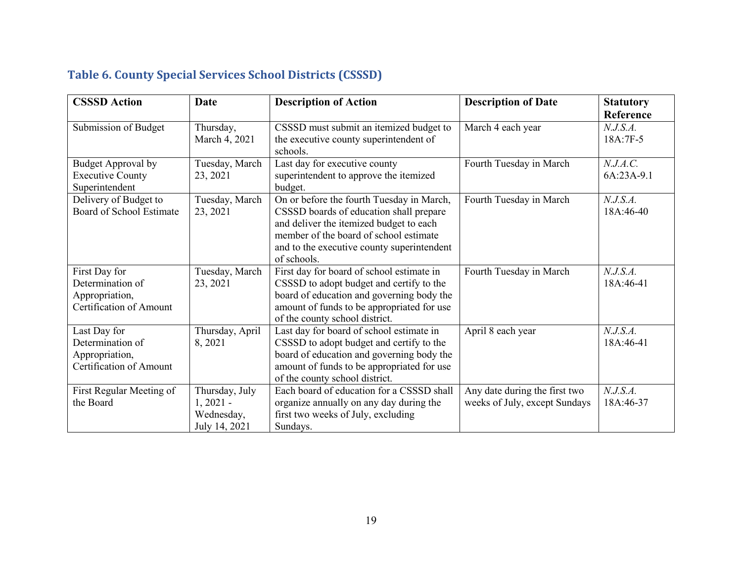# **Table 6. County Special Services School Districts (CSSSD)**

| <b>CSSSD Action</b>                                                            | <b>Date</b>                                                 | <b>Description of Action</b>                                                                                                                                                                                                           | <b>Description of Date</b>                                     | <b>Statutory</b><br>Reference |
|--------------------------------------------------------------------------------|-------------------------------------------------------------|----------------------------------------------------------------------------------------------------------------------------------------------------------------------------------------------------------------------------------------|----------------------------------------------------------------|-------------------------------|
| Submission of Budget                                                           | Thursday,<br>March 4, 2021                                  | CSSSD must submit an itemized budget to<br>the executive county superintendent of<br>schools.                                                                                                                                          | March 4 each year                                              | N.J.S.A.<br>18A:7F-5          |
| Budget Approval by<br><b>Executive County</b><br>Superintendent                | Tuesday, March<br>23, 2021                                  | Last day for executive county<br>superintendent to approve the itemized<br>budget.                                                                                                                                                     | Fourth Tuesday in March                                        | N.J.A.C.<br>6A:23A-9.1        |
| Delivery of Budget to<br>Board of School Estimate                              | Tuesday, March<br>23, 2021                                  | On or before the fourth Tuesday in March,<br>CSSSD boards of education shall prepare<br>and deliver the itemized budget to each<br>member of the board of school estimate<br>and to the executive county superintendent<br>of schools. | Fourth Tuesday in March                                        | N.J.S.A.<br>18A:46-40         |
| First Day for<br>Determination of<br>Appropriation,<br>Certification of Amount | Tuesday, March<br>23, 2021                                  | First day for board of school estimate in<br>CSSSD to adopt budget and certify to the<br>board of education and governing body the<br>amount of funds to be appropriated for use<br>of the county school district.                     | Fourth Tuesday in March                                        | N.J.S.A.<br>18A:46-41         |
| Last Day for<br>Determination of<br>Appropriation,<br>Certification of Amount  | Thursday, April<br>8,2021                                   | Last day for board of school estimate in<br>CSSSD to adopt budget and certify to the<br>board of education and governing body the<br>amount of funds to be appropriated for use<br>of the county school district.                      | April 8 each year                                              | N.J.S.A.<br>18A:46-41         |
| First Regular Meeting of<br>the Board                                          | Thursday, July<br>$1,2021 -$<br>Wednesday,<br>July 14, 2021 | Each board of education for a CSSSD shall<br>organize annually on any day during the<br>first two weeks of July, excluding<br>Sundays.                                                                                                 | Any date during the first two<br>weeks of July, except Sundays | N.J.S.A.<br>18A:46-37         |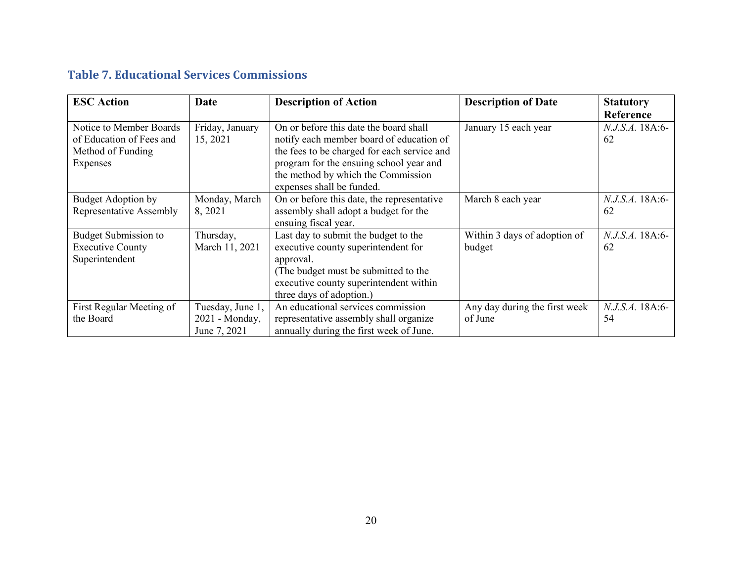#### **Table 7. Educational Services Commissions**

| <b>ESC</b> Action           | Date             | <b>Description of Action</b>                | <b>Description of Date</b>    | <b>Statutory</b>       |
|-----------------------------|------------------|---------------------------------------------|-------------------------------|------------------------|
|                             |                  |                                             |                               | Reference              |
| Notice to Member Boards     | Friday, January  | On or before this date the board shall      | January 15 each year          | <i>N.J.S.A.</i> 18A:6- |
| of Education of Fees and    | 15, 2021         | notify each member board of education of    |                               | 62                     |
| Method of Funding           |                  | the fees to be charged for each service and |                               |                        |
| Expenses                    |                  | program for the ensuing school year and     |                               |                        |
|                             |                  | the method by which the Commission          |                               |                        |
|                             |                  | expenses shall be funded.                   |                               |                        |
| Budget Adoption by          | Monday, March    | On or before this date, the representative  | March 8 each year             | <i>N.J.S.A.</i> 18A:6- |
| Representative Assembly     | 8, 2021          | assembly shall adopt a budget for the       |                               | 62                     |
|                             |                  | ensuing fiscal year.                        |                               |                        |
| <b>Budget Submission to</b> | Thursday,        | Last day to submit the budget to the        | Within 3 days of adoption of  | N.J.S.A. 18A:6-        |
| <b>Executive County</b>     | March 11, 2021   | executive county superintendent for         | budget                        | 62                     |
| Superintendent              |                  | approval.                                   |                               |                        |
|                             |                  | (The budget must be submitted to the        |                               |                        |
|                             |                  | executive county superintendent within      |                               |                        |
|                             |                  | three days of adoption.)                    |                               |                        |
| First Regular Meeting of    | Tuesday, June 1, | An educational services commission          | Any day during the first week | <i>N.J.S.A.</i> 18A:6- |
| the Board                   | 2021 - Monday,   | representative assembly shall organize      | of June                       | 54                     |
|                             | June 7, 2021     | annually during the first week of June.     |                               |                        |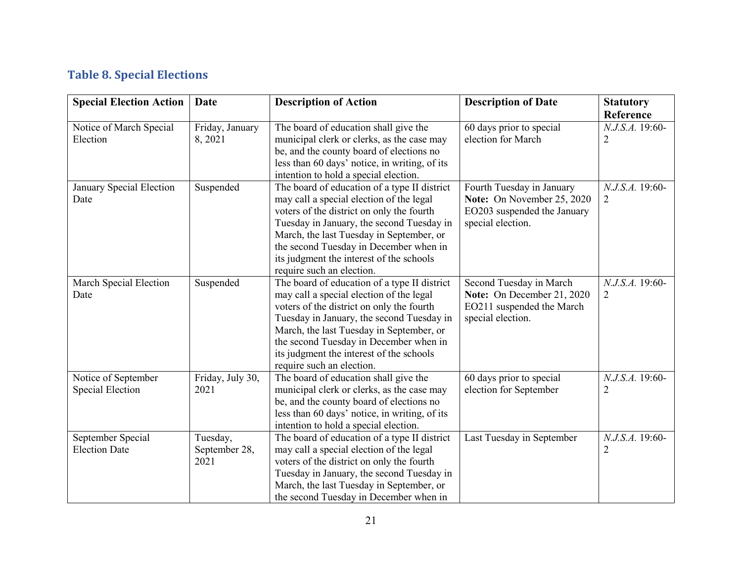### **Table 8. Special Elections**

| <b>Special Election Action</b>                 | <b>Date</b>                       | <b>Description of Action</b>                                                                                                                                                                                                                                                                                                                      | <b>Description of Date</b>                                                                                  | <b>Statutory</b>                  |
|------------------------------------------------|-----------------------------------|---------------------------------------------------------------------------------------------------------------------------------------------------------------------------------------------------------------------------------------------------------------------------------------------------------------------------------------------------|-------------------------------------------------------------------------------------------------------------|-----------------------------------|
|                                                |                                   |                                                                                                                                                                                                                                                                                                                                                   |                                                                                                             | Reference                         |
| Notice of March Special<br>Election            | Friday, January<br>8, 2021        | The board of education shall give the<br>municipal clerk or clerks, as the case may<br>be, and the county board of elections no<br>less than 60 days' notice, in writing, of its<br>intention to hold a special election.                                                                                                                         | 60 days prior to special<br>election for March                                                              | N.J.S.A. 19:60-<br>2              |
| January Special Election<br>Date               | Suspended                         | The board of education of a type II district<br>may call a special election of the legal<br>voters of the district on only the fourth<br>Tuesday in January, the second Tuesday in<br>March, the last Tuesday in September, or<br>the second Tuesday in December when in<br>its judgment the interest of the schools<br>require such an election. | Fourth Tuesday in January<br>Note: On November 25, 2020<br>EO203 suspended the January<br>special election. | N.J.S.A. 19:60-<br>$\overline{2}$ |
| March Special Election<br>Date                 | Suspended                         | The board of education of a type II district<br>may call a special election of the legal<br>voters of the district on only the fourth<br>Tuesday in January, the second Tuesday in<br>March, the last Tuesday in September, or<br>the second Tuesday in December when in<br>its judgment the interest of the schools<br>require such an election. | Second Tuesday in March<br>Note: On December 21, 2020<br>EO211 suspended the March<br>special election.     | N.J.S.A. 19:60-<br>$\overline{2}$ |
| Notice of September<br><b>Special Election</b> | Friday, July 30,<br>2021          | The board of education shall give the<br>municipal clerk or clerks, as the case may<br>be, and the county board of elections no<br>less than 60 days' notice, in writing, of its<br>intention to hold a special election.                                                                                                                         | 60 days prior to special<br>election for September                                                          | N.J.S.A. 19:60-<br>$\overline{2}$ |
| September Special<br><b>Election Date</b>      | Tuesday,<br>September 28,<br>2021 | The board of education of a type II district<br>may call a special election of the legal<br>voters of the district on only the fourth<br>Tuesday in January, the second Tuesday in<br>March, the last Tuesday in September, or<br>the second Tuesday in December when in                                                                          | Last Tuesday in September                                                                                   | N.J.S.A. 19:60-<br>2              |